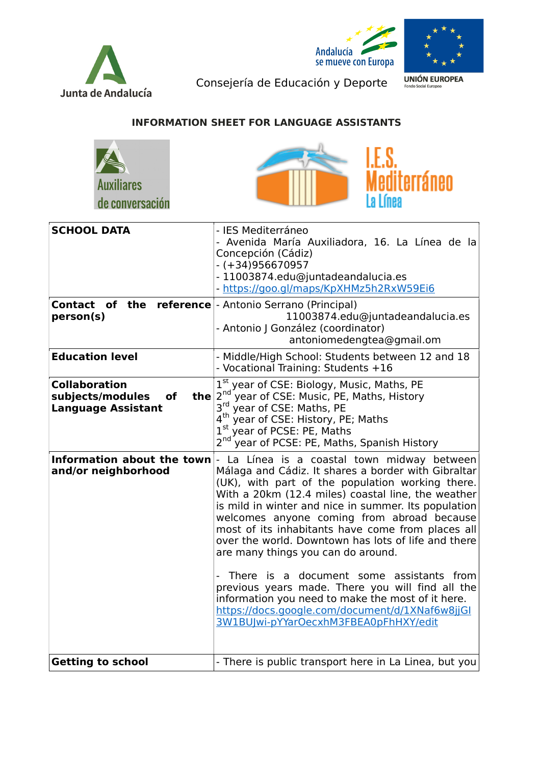





Consejería de Educación y Deporte

**UNIÓN EUROPEA** 

## INFORMATION SHEET FOR LANGUAGE ASSISTANTS





| <b>SCHOOL DATA</b>                                                          | - IES Mediterráneo<br>- Avenida María Auxiliadora, 16. La Línea de la<br>Concepción (Cádiz)<br>- (+34)956670957<br>- 11003874.edu@juntadeandalucia.es<br>- https://goo.gl/maps/KpXHMz5h2RxW59Ei6                                                                                                                                                                                                                                                                                                                                                                                                                                                                                                                      |
|-----------------------------------------------------------------------------|-----------------------------------------------------------------------------------------------------------------------------------------------------------------------------------------------------------------------------------------------------------------------------------------------------------------------------------------------------------------------------------------------------------------------------------------------------------------------------------------------------------------------------------------------------------------------------------------------------------------------------------------------------------------------------------------------------------------------|
| <b>Contact of the reference</b> - Antonio Serrano (Principal)<br>person(s)  | 11003874.edu@juntadeandalucia.es<br>- Antonio J González (coordinator)<br>antoniomedengtea@gmail.om                                                                                                                                                                                                                                                                                                                                                                                                                                                                                                                                                                                                                   |
| <b>Education level</b>                                                      | - Middle/High School: Students between 12 and 18<br>- Vocational Training: Students +16                                                                                                                                                                                                                                                                                                                                                                                                                                                                                                                                                                                                                               |
| <b>Collaboration</b><br>subjects/modules<br>of<br><b>Language Assistant</b> | $1^{st}$ year of CSE: Biology, Music, Maths, PE<br>the $2^{nd}$ year of CSF: Music, PE Maths, PE<br>$2nd$ year of CSE: Music, PE, Maths, History<br>$3rd$ year of CSE: Maths, PE<br>4 <sup>th</sup> year of CSE: History, PE; Maths<br>1st year of PCSE: PE, Maths<br>2 <sup>nd</sup> year of PCSE: PE, Maths, Spanish History                                                                                                                                                                                                                                                                                                                                                                                        |
| Information about the town<br>and/or neighborhood                           | La Línea is a coastal town midway between<br>Málaga and Cádiz. It shares a border with Gibraltar<br>(UK), with part of the population working there.<br>With a 20km (12.4 miles) coastal line, the weather<br>is mild in winter and nice in summer. Its population<br>welcomes anyone coming from abroad because<br>most of its inhabitants have come from places all<br>over the world. Downtown has lots of life and there<br>are many things you can do around.<br>- There is a document some assistants from<br>previous years made. There you will find all the<br>information you need to make the most of it here.<br>https://docs.google.com/document/d/1XNaf6w8jjGI<br>3W1BUJwi-pYYarOecxhM3FBEA0pFhHXY/edit |
| <b>Getting to school</b>                                                    | - There is public transport here in La Linea, but you                                                                                                                                                                                                                                                                                                                                                                                                                                                                                                                                                                                                                                                                 |